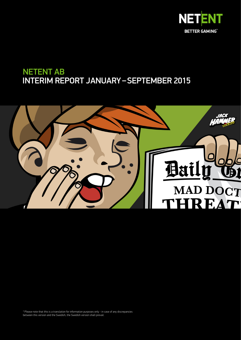

# NETENT AB INTERIM REPORT JANUARY – SEPTEMBER 2015



\* Please note that this is a translation for information purposes only - in case of any discrepancies between this version and the Swedish, the Swedish version shall prevail.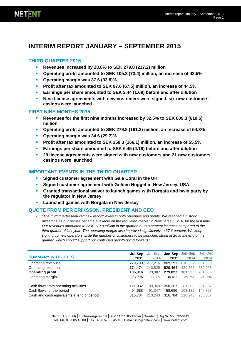# **INTERIM REPORT JANUARY – SEPTEMBER 2015**

# **THIRD QUARTER 2015**

- **Revenues increased by 28.8% to SEK 279.8 (217.2) million**
- **Operating profit amounted to SEK 105.3 (73.4) million, an increase of 43.5%**
- **Operating margin was 37.6 (33.8)%**
- **Profit after tax amounted to SEK 97.6 (67.5) million, an increase of 44.5%**
- **Earnings per share amounted to SEK 2.44 (1.69) before and after dilution**
- **Nine license agreements with new customers were signed, six new customers' casinos were launched**

### **FIRST NINE MONTHS 2015**

- **Revenues for the first nine months increased by 32.5% to SEK 809.3 (610.6) million**
- **Operating profit amounted to SEK 279.8 (181.3) million, an increase of 54.3%**
- **Operating margin was 34.6 (29.7)%**
- **Profit after tax amounted to SEK 258.3 (166.1) million, an increase of 55.5%**
- **Earnings per share amounted to SEK 6.45 (4.16) before and after dilution**
- **29 license agreements were signed with new customers and 21 new customers' casinos were launched**

# **IMPORTANT EVENTS IN THE THIRD QUARTER**

- **Signed customer agreement with Gala Coral in the UK**
- **Signed customer agreement with Golden Nugget in New Jersey, USA**
- **Granted transactional waiver to launch games with Borgata and bwin.party by the regulator in New Jersey**
- **Launched games with Borgata in New Jersey**

# **QUOTE FROM PER ERIKSSON, PRESIDENT AND CEO**

- *"The third quarter featured new record levels in both revenues and profits. We reached a historic milestone as our games became available on the regulated market in New Jersey, USA, for the first time. Our revenues amounted to SEK 279.8 million in the quarter, a 28.8 percent increase compared to the third quarter of last year. The operating margin also improved significantly to 37.6 percent. We keep signing up new operators while the number of customers to be launched stood at 26 at the end of the quarter, which should support our continued growth going forward."*

| <b>SUMMARY IN FIGURES</b>                  | Jul-Sep<br>2015 | Jul-Sep<br>2014 | <b>Jan-Sep</b><br>2015 | Jan-Sep<br>2014 | Jan-Dec<br>2014 |
|--------------------------------------------|-----------------|-----------------|------------------------|-----------------|-----------------|
| Operating revenues                         | 279.790         | 217,216         | 809.291                | 610.597         | 851,663         |
| Operating expenses                         | -174.474        | $-143.829$      | -529.464               | $-429.262$      | -589,998        |
| <b>Operating profit</b>                    | 105,316         | 73,387          | 279,827                | 181,335         | 261,665         |
| Operating margin                           | 37.6%           | 33.8%           | 34.6%                  | 29.7%           | 30.7%           |
| Cash flows from operating activities       | 121.932         | 89,369          | 350,367                | 281,308         | 364,897         |
| Cash flows for the period                  | 94.688          | 91.347          | 58.696                 | 103.135         | 149,828         |
| Cash and cash equivalents at end of period | 316.784         | 210.243         | 316.784                | 210.243         | 258,057         |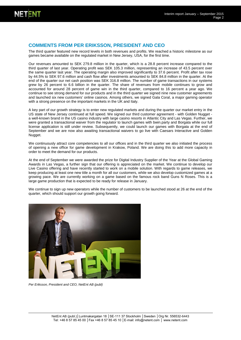### **COMMENTS FROM PER ERIKSSON, PRESIDENT AND CEO**

The third quarter featured new record levels in both revenues and profits. We reached a historic milestone as our games became available on the regulated market in New Jersey, USA, for the first time.

Our revenues amounted to SEK 279.8 million in the quarter, which is a 28.8 percent increase compared to the third quarter of last year. Operating profit was SEK 105.3 million, representing an increase of 43.5 percent over the same quarter last year. The operating margin also improved significantly to 37.6 percent. Profit after tax rose by 44.5% to SEK 97.6 million and cash flow after investments amounted to SEK 84.8 million in the quarter. At the end of the quarter our net cash position was SEK 316.8 million. The number of game transactions in our systems grew by 26 percent to 6.6 billion in the quarter. The share of revenues from mobile continues to grow and accounted for around 28 percent of game win in the third quarter, compared to 16 percent a year ago. We continue to see strong demand for our products and in the third quarter we signed nine new customer agreements and launched six new customers' online casinos. Among others, we signed Gala Coral, a major gaming operator with a strong presence on the important markets in the UK and Italy.

A key part of our growth strategy is to enter new regulated markets and during the quarter our market entry in the US state of New Jersey continued at full speed. We signed our third customer agreement - with Golden Nugget a well-known brand in the US casino industry with large casino resorts in Atlantic City and Las Vegas. Further, we were granted a transactional waiver from the regulator to launch games with bwin.party and Borgata while our full license application is still under review. Subsequently, we could launch our games with Borgata at the end of September and we are now also awaiting transactional waivers to go live with Caesars Interactive and Golden Nugget.

We continuously attract core competencies to all our offices and in the third quarter we also initiated the process of opening a new office for game development in Krakow, Poland. We are doing this to add more capacity in order to meet the demand for our products.

At the end of September we were awarded the prize for Digital Industry Supplier of the Year at the Global Gaming Awards in Las Vegas, a further sign that our offering is appreciated on the market. We continue to develop our Live Casino offering and have recently started to work on a mobile solution. With regards to game releases, we keep producing at least one new title a month for all our customers, while we also develop customized games at a growing pace. We are currently working on a game based on the famous rock band Guns N Roses. This is a large game production that is expected to be ready for release in January.

We continue to sign up new operators while the number of customers to be launched stood at 26 at the end of the quarter, which should support our growth going forward.



*Per Eriksson, President and CEO, NetEnt AB (publ)*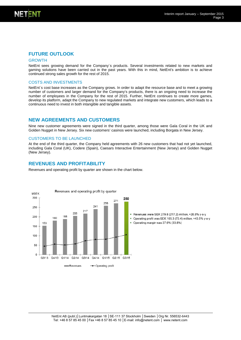### **FUTURE OUTLOOK**

#### GROWTH

NetEnt sees growing demand for the Company´s products. Several investments related to new markets and gaming solutions have been carried out in the past years. With this in mind, NetEnt's ambition is to achieve continued strong sales growth for the rest of 2015.

#### COSTS AND INVESTMENTS

NetEnt´s cost base increases as the Company grows. In order to adapt the resource base and to meet a growing number of customers and larger demand for the Company's products, there is an ongoing need to increase the number of employees in the Company for the rest of 2015. Further, NetEnt continues to create more games, develop its platform, adapt the Company to new regulated markets and integrate new customers, which leads to a continuous need to invest in both intangible and tangible assets.

#### **NEW AGREEMENTS AND CUSTOMERS**

Nine new customer agreements were signed in the third quarter, among those were Gala Coral in the UK and Golden Nugget in New Jersey. Six new customers' casinos were launched, including Borgata in New Jersey.

#### CUSTOMERS TO BE LAUNCHED

At the end of the third quarter, the Company held agreements with 26 new customers that had not yet launched, including Gala Coral (UK), Codere (Spain), Caesars Interactive Entertainment (New Jersey) and Golden Nugget (New Jersey).

#### **REVENUES AND PROFITABILITY**

Revenues and operating profit by quarter are shown in the chart below.

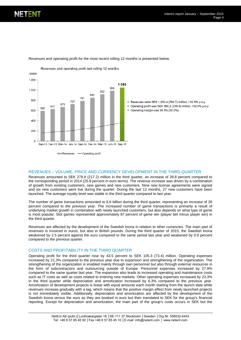

Revenues and operating profit for the most recent rolling 12 months is presented below.

#### REVENUES – VOLUME, PRICE AND CURRENCY DEVELOPMENT IN THE THIRD QUARTER

Revenues amounted to SEK 279.8 (217.2) million in the third quarter, an increase of 28.8 percent compared to the corresponding period in 2014 (25.8 percent in euro terms). The revenue increase was driven by a combination of growth from existing customers, new games and new customers. Nine new license agreements were signed and six new customers went live during the quarter. During the last 12 months, 27 new customers have been launched. The average royalty level was stable in the third quarter compared to last year.

The number of game transactions amounted to 6.6 billion during the third quarter, representing an increase of 26 percent compared to the previous year. The increased number of game transactions is primarily a result of underlying market growth in combination with newly launched customers, but also depends on what type of game is most popular. Slot games represented approximately 87 percent of game win (player bet minus player win) in the third quarter.

Revenues are affected by the development of the Swedish krona in relation to other currencies. The main part of revenues is invoiced in euros, but also in British pounds. During the third quarter of 2015, the Swedish krona weakened by 2.5 percent against the euro compared to the same period last year and weakened by 0.9 percent compared to the previous quarter.

#### COSTS AND PROFITABILITY IN THE THIRD QUARTER

Operating profit for the third quarter rose by 43.5 percent to SEK 105.3 (73.4) million. Operating expenses increased by 21.3% compared to the previous year due to expansion and strengthening of the organization. The strengthening of the organization is enabled mainly through own personnel but also through external resources in the form of subcontractors and outsourcing outside of Europe. Personnel expenses increased by 27.9% compared to the same quarter last year. The expansion also leads to increased operating and maintenance costs such as IT costs as well as costs related to entering new markets. Other operating expenses increased by 23.3% in the third quarter while depreciation and amortization increased by 6.3% compared to the previous year. Amortization of development projects is linear with equal amounts each month starting from the launch date while revenues increase gradually with a lag, which means that the positive margin effect from newly launched projects is not immediately visible. Additionally, depreciation and amortization are affected by the development of the Swedish krona versus the euro as they are booked in euro but then translated to SEK for the group's financial reporting. Except for depreciation and amortization, the main part of the group's costs occurs in SEK but the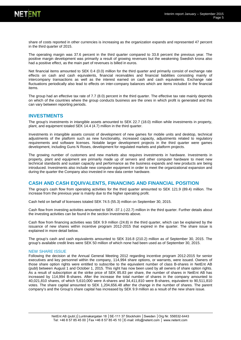

share of costs reported in other currencies is increasing as the organization expands and represented 47 percent in the third quarter of 2015.

The operating margin was 37.6 percent in the third quarter compared to 33.8 percent the previous year. The positive margin development was primarily a result of growing revenues but the weakening Swedish krona also had a positive effect, as the main part of revenues is billed in euros.

Net financial items amounted to SEK 0.4 (0.0) million for the third quarter and primarily consist of exchange rate effects on cash and cash equivalents, financial receivables and financial liabilities consisting mainly of intercompany transactions as well as the interest earned on cash and cash equivalents. Exchange rate fluctuations periodically also lead to effects on inter-company balances which are items included in the financial items.

The group had an effective tax rate of 7.7 (8.0) percent in the third quarter. The effective tax rate mainly depends on which of the countries where the group conducts business are the ones in which profit is generated and this can vary between reporting periods.

#### **INVESTMENTS**

The group's investments in intangible assets amounted to SEK 22.7 (18.0) million while investments in property, plant, and equipment totaled SEK 14.4 (4.7) million in the third quarter.

Investments in intangible assets consist of development of new games for mobile units and desktop, technical adjustments of the platform such as new functionality, increased capacity, adjustments related to regulatory requirements and software licenses. Notable larger development projects in the third quarter were games development, including Guns N Roses, development for regulated markets and platform projects.

The growing number of customers and new markets also requires investments in hardware. Investments in property, plant and equipment are primarily made up of servers and other computer hardware to meet new technical standards and sustain capacity and performance as the business expands and new products are being introduced. Investments also include new computer equipment in order to meet the organizational expansion and during the quarter the Company also invested in new data center hardware.

#### **CASH AND CASH EQUIVALENTS, FINANCING AND FINANCIAL POSITION**

The group's cash flow from operating activities for the third quarter amounted to SEK 121.9 (89.4) million. The increase from the previous year is mainly due to the higher operating profit.

Cash held on behalf of licensees totaled SEK 74.5 (55.3) million on September 30, 2015.

Cash flow from investing activities amounted to SEK -37.1 (-22.7) million in the third quarter. Further details about the investing activities can be found in the section Investments above.

Cash flow from financing activities was SEK 9.9 million (24.8) in the third quarter, which can be explained by the issuance of new shares within incentive program 2012-2015 that expired in the quarter. The share issue is explained in more detail below.

The group's cash and cash equivalents amounted to SEK 316.8 (210.2) million as of September 30, 2015. The group's available credit lines were SEK 50 million of which none had been used as of September 30, 2015.

#### NEW SHARE ISSUE

Following the decision at the Annual General Meeting 2012 regarding incentive program 2012-2015 for senior executives and key personnel within the company, 114,994 share options, or warrants, were issued. Owners of those share option rights were entitled to subscribe to the equivalent number of class B-shares in NetEnt AB (publ) between August 1 and October 1, 2015. This right has now been used by all owners of share option rights. As a result of subscription at the strike price of SEK 85.83 per share, the number of shares in NetEnt AB has increased by 114,994 B-shares. After the increase the total number of shares in the company amounted to 40,021,810 shares, of which 5,610,000 were A-shares and 34,411,810 were B-shares, equivalent to 90,511,810 votes. The share capital amounted to SEK 1,204,656.48 after the change in the number of shares. The parent company's and the Group's share capital has increased by SEK 9.9 million as a result of the new share issue.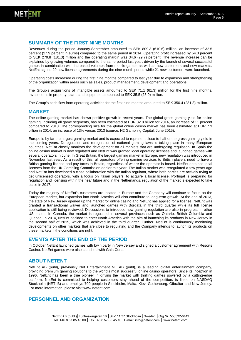# **SUMMARY OF THE FIRST NINE MONTHS**

Revenues during the period January-September amounted to SEK 809.3 (610.6) million, an increase of 32.5 percent (27.9 percent in euros) compared to the same period in 2014. Operating profit increased by 54.3 percent to SEK 279.8 (181.3) million and the operating margin was 34.6 (29.7) percent. The revenue increase can be explained by growing volumes compared to the same period last year, driven by the launch of several successful games in combination with increased volumes from mobile games as well as new customers and new markets. NetEnt signed 29 new license agreements during the nine-month period while 21 new customers were launched.

Operating costs increased during the first nine months compared to last year due to expansion and strengthening of the organization within areas such as sales, product management, development and operations.

The Group's acquisitions of intangible assets amounted to SEK 71.1 (61.3) million for the first nine months. Investments in property, plant, and equipment amounted to SEK 35.5 (23.0) million.

The Group's cash flow from operating activities for the first nine months amounted to SEK 350.4 (281.3) million.

#### **MARKET**

The online gaming market has shown positive growth in recent years. The global gross gaming yield for online gaming, including all game segments, has been estimated at EUR 32.8 billion for 2014, an increase of 11 percent compared to 2013. The corresponding size for the global online casino market has been estimated at EUR 7.3 billion in 2014, an increase of 13% versus 2013 (source: H2 Gambling Capital, June 2015).

Europe is by far the largest gaming market and is expected to represent close to half of the gross gaming yield in the coming years. Deregulation and reregulation of national gaming laws is taking place in many European countries. NetEnt closely monitors the development on all markets that are undergoing regulation. In Spain the online casino market is now regulated and NetEnt was granted local operating licenses and launched games with several operators in June. In Great Britain, the largest gaming market in Europe, new regulation was introduced in November last year. As a result of this, all operators offering gaming services to British players need to have a British gaming license and pay taxes in Britain, regardless of where the operator is based. NetEnt obtained local licenses from the UK Gambling Commission earlier this year. The Italian market was reregulated a few years ago and NetEnt has developed a close collaboration with the Italian regulator, where both parties are actively trying to get unlicensed operators, with a focus on Italian players, to acquire a local license. Portugal is preparing for regulation and licensing within the near future and in the Netherlands, regulation of the market is expected to take place in 2017.

Today the majority of NetEnt's customers are located in Europe and the Company will continue to focus on the European market, but expansion into North America will also contribute to long-term growth. At the end of 2013, the state of New Jersey opened up the market for online casino and NetEnt has applied for a license. NetEnt was granted a transactional waiver and launched games with Borgata in the third quarter while its full license application is still being reviewed. Discussions to introduce new gaming regulation are also in progress in other US states. In Canada, the market is regulated in several provinces such as Ontario, British Columbia and Quebec. In 2014, NetEnt decided to enter North America with the aim of launching its products in New Jersey in the second half of 2015, which was achieved in the third quarter. Further, NetEnt is continuously monitoring developments on other markets that are close to regulating and the Company intends to launch its products on these markets if the conditions are right.

#### **EVENTS AFTER THE END OF THE PERIOD**

In October NetEnt launched games with bwin.party in New Jersey and signed a customer agreement with Resorts Casino. NetEnt games were also launched with Gala Coral.

#### **ABOUT NETENT**

NetEnt AB (publ), previously Net Entertainment NE AB (publ), is a leading digital entertainment company, providing premium gaming solutions to the world's most successful online casino operators. Since its inception in 1996, NetEnt has been a true pioneer in driving the market with thrilling games powered by a cutting-edge platform. NetEnt is committed to helping customers stay ahead of the competition, is listed on NASDAQ Stockholm (NET–B) and employs 700 people in Stockholm, Malta, Kiev, Gothenburg, Gibraltar and New Jersey. For more information, please visit www.netent.com.

### **PERSONNEL AND ORGANIZATION**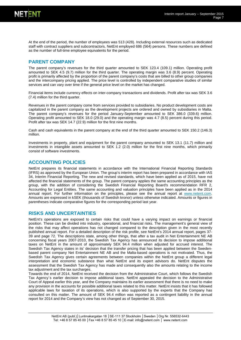

At the end of the period, the number of employees was 513 (428). Including external resources such as dedicated staff with contract suppliers and subcontractors, NetEnt employed 686 (564) persons. These numbers are defined as the number of full-time employee equivalents for the period.

# **PARENT COMPANY**

The parent company's revenues for the third quarter amounted to SEK 123.4 (109.1) million. Operating profit amounted to SEK 4.5 (9.7) million for the third quarter. The operating margin was 3.6 (8.9) percent. Operating profit is primarily affected by the proportion of the parent company's costs that are billed to other group companies and the intercompany pricing applied. The price level is controlled by independent comparative studies of similar services and can vary over time if the general price level on the market has changed.

Financial items include currency effects on inter-company transactions and dividends. Profit after tax was SEK 3.6 (7.4) million for the third quarter.

Revenues in the parent company come from services provided to subsidiaries. No product development costs are capitalized in the parent company as the development projects are ordered and owned by subsidiaries in Malta. The parent company's revenues for the period January-September amounted to SEK 386.0 (339.6) million. Operating profit amounted to SEK 18.0 (29.0) and the operating margin was 4.7 (8.5) percent during this period. Profit after tax was SEK 14.7 (22.9) million for the first nine months.

Cash and cash equivalents in the parent company at the end of the third quarter amounted to SEK 150.2 (146.3) million.

Investments in property, plant and equipment for the parent company amounted to SEK 13.1 (11.7) million and investments in intangible assets amounted to SEK 1.2 (2.0) million for the first nine months, which primarily consist of software investments.

#### **ACCOUNTING POLICIES**

NetEnt prepares its financial statements in accordance with the International Financial Reporting Standards (IFRS) as approved by the European Union. The group's interim report has been prepared in accordance with IAS 34, Interim Financial Reporting. The new and revised standards, which have been applied as of 2015, have not affected the financial statements of the group. The parent company applies the same accounting principles as the group, with the addition of considering the Swedish Financial Reporting Board's recommendation RFR 2, Accounting for Legal Entities. The same accounting and valuation principles have been applied as in the 2014 annual report. For further information on the principles, please see the annual report at [www.netent.com.](http://www.netent.com/) Amounts are expressed in kSEK (thousands of Swedish kronor) unless otherwise indicated. Amounts or figures in parentheses indicate comparative figures for the corresponding period last year.

#### **RISKS AND UNCERTAINTIES**

NetEnt's operations are exposed to certain risks that could have a varying impact on earnings or financial position. These can be divided into industry, operational, and financial risks. The management's general view of the risks that may affect operations has not changed compared to the description given in the most recently published annual report. For a detailed description of the risk profile, see NetEnt's 2014 annual report, pages 37- 39 and page 72. The descriptions state, among other things, that after a tax audit in Net Entertainment NE AB concerning fiscal years 2007-2010, the Swedish Tax Agency has announced its decision to impose additional taxes on NetEnt in the amount of approximately SEK 94.4 million when adjusted for accrued interest. The Swedish Tax Agency states in its' decision that the transfer pricing that has been applied between the Swedenbased parent company Net Entertainment NE AB and the Malta-based operations is not motivated. Thus, the Swedish Tax Agency gives certain agreements between companies within the NetEnt group a different legal interpretation and economic substance than what NetEnt and its expert advisors do. NetEnt disputes the assessment that the Swedish Tax Agency has made and consequently also the amounts relating to the income tax adjustment and the tax surcharges.

Towards the end of 2014, NetEnt received the decision from the Administrative Court, which follows the Swedish Tax Agency´s earlier decision to impose additional taxes. NetEnt appealed the decision to the Administrative Court of Appeal earlier this year, and the Company maintains its earlier assessment that there is no need to make any provision in the accounts for possible additional taxes related to this matter. NetEnt insists that it has followed applicable laws for taxation of its operations, which is also supported by the experts that the Company has consulted on this matter. The amount of SEK 94.4 million was reported as a contingent liability in the annual report for 2014 and the Company's view has not changed as of September 30, 2015.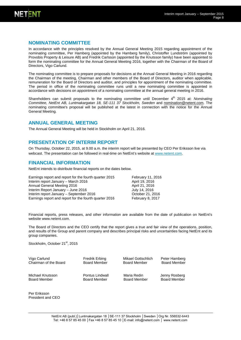

### **NOMINATING COMMITTEE**

In accordance with the principles resolved by the Annual General Meeting 2015 regarding appointment of the nominating committee, Per Hamberg (appointed by the Hamberg family), Christoffer Lundström (appointed by Provobis Property & Leisure AB) and Fredrik Carlsson (appointed by the Knutsson family) have been appointed to form the nominating committee for the Annual General Meeting 2016, together with the Chairman of the Board of Directors, Vigo Carlund.

The nominating committee is to prepare proposals for decisions at the Annual General Meeting in 2016 regarding the Chairman of the meeting, Chairman and other members of the Board of Directors, auditor when applicable, remuneration for the Board of Directors and auditor, and principles for appointment of the nominating committee. The period in office of the nominating committee runs until a new nominating committee is appointed in accordance with decisions on appointment of a nominating committee at the annual general meeting in 2016.

Shareholders can submit proposals to the nominating committee until December 4<sup>th</sup> 2015 at: *Nominating Committee, NetEnt AB, Luntmakargatan 18, SE-111 37 Stockholm, Sweden* and nomination@netent.com. The nominating committee's proposal will be published at the latest in connection with the notice for the Annual General Meeting.

#### **ANNUAL GENERAL MEETING**

The Annual General Meeting will be held in Stockholm on April 21, 2016.

#### **PRESENTATION OF INTERIM REPORT**

On Thursday, October 22, 2015, at 9.00 a.m. the interim report will be presented by CEO Per Eriksson live via webcast. The presentation can be followed in real-time on NetEnt's website at [www.netent.com.](http://www.netent.com/)

#### **FINANCIAL INFORMATION**

NetEnt intends to distribute financial reports on the dates below.

Earnings report and report for the fourth quarter 2015 February 11, 2016 Interim report January – March 2016 **April 19, 2016** Annual General Meeting 2016<br>
Interim Report January – June 2016<br>
July 14, 2016 Interim Report January – June 2016 July 14, 2016 Interim report January – September 2016<br>
Earnings report and report for the fourth quarter 2016 February 8, 2017 Earnings report and report for the fourth quarter 2016

Financial reports, press releases, and other information are available from the date of publication on NetEnt's websit[e www.netent.com.](http://www.netent.com/)

The Board of Directors and the CEO certify that the report gives a true and fair view of the operations, position, and results of the Group and parent company and describes principal risks and uncertainties facing NetEnt and its group companies.

Stockholm, October 21<sup>st</sup>, 2015

Vigo Carlund Chairman of the Board Fredrik Erbing Board Member Michael Knutsson

Board Member

Pontus Lindwall Board Member

Maria Redin **Jenny Rosberg**<br>Board Member **Board Member Board Member** 

**Board Member** 

Mikael Gottschlich Peter Hamberg<br>Board Member Board Member

Per Eriksson President and CEO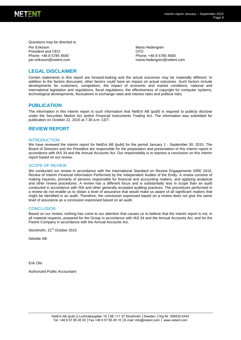

Questions may be directed to Per Eriksson President and CEO Phone: +46 8 5785 4500 per.eriksson@netent.com

Maria Hedengren CFO Phone: +46 8 5785 4500 [maria.hedengren@netent.com](mailto:maria.hedengren@netent.com)

# **LEGAL DISCLAIMER**

Certain statements in this report are forward-looking and the actual outcomes may be materially different. In addition to the factors discussed, other factors could have an impact on actual outcomes. Such factors include developments for customers, competitors, the impact of economic and market conditions, national and international legislation and regulations, fiscal regulations, the effectiveness of copyright for computer systems, technological developments, fluctuations in exchange rates and interest rates and political risks.

#### **PUBLICATION**

The information in this interim report is such information that NetEnt AB (publ) is required to publicly disclose under the Securities Market Act and/or Financial Instruments Trading Act. The information was submitted for publication on October 22, 2015 at 7.30 a.m. CET.

#### **REVIEW REPORT**

#### **INTRODUCTION**

We have reviewed the interim report for NetEnt AB (publ) for the period January 1 - September 30, 2015. The Board of Directors and the President are responsible for the preparation and presentation of this interim report in accordance with IAS 34 and the Annual Accounts Act. Our responsibility is to express a conclusion on this interim report based on our review.

#### SCOPE OF REVIEW

We conducted our review in accordance with the International Standard on Review Engagements ISRE 2410, Review of Interim Financial Information Performed by the Independent Auditor of the Entity. A review consists of making inquiries, primarily of persons responsible for financial and accounting matters, and applying analytical and other review procedures. A review has a different focus and is substantially less in scope than an audit conducted in accordance with ISA and other generally accepted auditing practices. The procedures performed in a review do not enable us to obtain a level of assurance that would make us aware of all significant matters that might be identified in an audit. Therefore, the conclusion expressed based on a review does not give the same level of assurance as a conclusion expressed based on an audit.

#### **CONCLUSION**

Based on our review, nothing has come to our attention that causes us to believe that the interim report is not, in all material respects, prepared for the Group in accordance with IAS 34 and the Annual Accounts Act, and for the Parent Company in accordance with the Annual Accounts Act.

Stockholm, 21<sup>st</sup> October 2015

Deloitte AB

Erik Olin

Authorized Public Accountant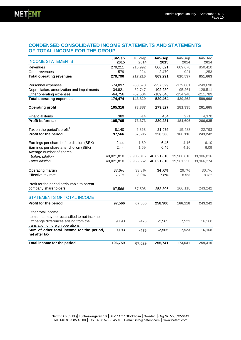# **CONDENSED CONSOLIDATED INCOME STATEMENTS AND STATEMENTS OF TOTAL INCOME FOR THE GROUP**

|                                                                            | <b>Jul-Sep</b> | Jul-Sep    | Jan-Sep    | Jan-Sep    | Jan-Dec    |
|----------------------------------------------------------------------------|----------------|------------|------------|------------|------------|
| <b>INCOME STATEMENTS</b>                                                   | 2015           | 2014       | 2015       | 2014       | 2014       |
| Revenues                                                                   | 279,211        | 216,992    | 806,821    | 609,676    | 850,410    |
| Other revenues                                                             | 579            | 224        | 2,470      | 921        | 1,253      |
| <b>Total operating revenues</b>                                            | 279,790        | 217,216    | 809,291    | 610,597    | 851,663    |
| Personnel expenses                                                         | $-74,897$      | $-58,578$  | $-237,329$ | $-179,061$ | $-249,698$ |
| Depreciation, amortization and impairments                                 | $-34,821$      | $-32,747$  | $-102,289$ | $-95,261$  | $-128,511$ |
| Other operating expenses                                                   | $-64,756$      | $-52,504$  | $-189,846$ | $-154,940$ | $-211,789$ |
| <b>Total operating expenses</b>                                            | $-174,474$     | $-143,829$ | $-529,464$ | $-429,262$ | $-589,998$ |
| <b>Operating profit</b>                                                    | 105,316        | 73,387     | 279,827    | 181,335    | 261,665    |
| Financial items                                                            | 389            | $-14$      | 454        | 271        | 4,370      |
| Profit before tax                                                          | 105,705        | 73,373     | 280,281    | 181,606    | 266,035    |
| Tax on the period's profit <sup>1</sup>                                    | $-8,140$       | $-5,868$   | $-21,975$  | $-15,488$  | $-22,793$  |
| Profit for the period                                                      | 97,566         | 67,505     | 258,306    | 166,118    | 243,242    |
| Earnings per share before dilution (SEK)                                   | 2.44           | 1.69       | 6.45       | 4.16       | 6.10       |
| Earnings per share after dilution (SEK)                                    | 2.44           | 1.69       | 6.45       | 4.16       | 6.09       |
| Average number of shares                                                   |                |            |            |            |            |
| - before dilution                                                          | 40,021,810     | 39,906,816 | 40,021,810 | 39,906,816 | 39,906,816 |
| - after dilution                                                           | 40,021,810     | 39,966,652 | 40,021,810 | 39,961,250 | 39,966,274 |
| Operating margin                                                           | 37.6%          | 33.8%      | 34.6%      | 29.7%      | 30.7%      |
| Effective tax rate                                                         | 7.7%           | 8.0%       | 7.8%       | 8.5%       | 8.6%       |
| Profit for the period attributable to parent                               |                |            |            |            |            |
| company shareholders                                                       | 97,566         | 67,505     | 258,306    | 166,118    | 243,242    |
| <b>STATEMENTS OF TOTAL INCOME</b>                                          |                |            |            |            |            |
| Profit for the period                                                      | 97,566         | 67,505     | 258,306    | 166,118    | 243,242    |
| Other total income                                                         |                |            |            |            |            |
| Items that may be reclassified to net income                               |                |            |            |            |            |
| Exchange differences arising from the<br>translation of foreign operations | 9,193          | $-476$     | $-2,565$   | 7,523      | 16,168     |
| Sum of other total income for the period,<br>net after tax                 | 9,193          | $-476$     | $-2,565$   | 7,523      | 16,168     |
| Total income for the period                                                | 106,759        | 67,029     | 255,741    | 173,641    | 259,410    |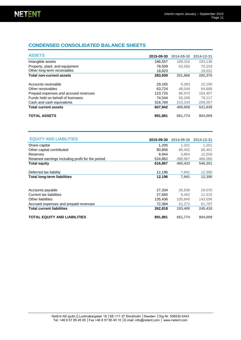# **CONDENSED CONSOLIDATED BALANCE SHEETS**

| <b>ASSETS</b>                         | 2015-09-30 | 2014-09-30 | 2014-12-31 |
|---------------------------------------|------------|------------|------------|
| Intangible assets                     | 186,557    | 189.316    | 193.136    |
| Property, plant, and equipment        | 78,559     | 62.550     | 70,203     |
| Other long-term receivables           | 18,823     | ٠          | 19,031     |
| <b>Total non-current assets</b>       | 283,939    | 251,866    | 282,370    |
| Accounts receivable                   | 29,165     | 9.383      | 15,190     |
| Other receivables                     | 63.724     | 48.044     | 64,868     |
| Prepaid expenses and accrued revenues | 123,725    | 86,970     | 104.407    |
| Funds held on behalf of licensees     | 74.544     | 55.268     | 79,117     |
| Cash and cash equivalents             | 316.784    | 210.243    | 258,057    |
| <b>Total current assets</b>           | 607,942    | 409.908    | 521,639    |
| <b>TOTAL ASSETS</b>                   | 891,881    | 661.774    | 804,009    |

| <b>EQUITY AND LIABILITIES</b>                     | 2015-09-30 | 2014-09-30 | 2014-12-31 |
|---------------------------------------------------|------------|------------|------------|
| Share capital                                     | 1,205      | 1,201      | 1,201      |
| Other capital contributed                         | 80.856     | 66,401     | 66,401     |
| Reserves                                          | 9.944      | 3.864      | 12,509     |
| Retained earnings including profit for the period | 524,862    | 388,967    | 466,090    |
| <b>Total equity</b>                               | 616,867    | 460,433    | 546,201    |
| Deferred tax liability                            | 12,196     | 7,941      | 12,390     |
| <b>Total long-term liabilities</b>                | 12,196     | 7,941      | 12,390     |
|                                                   |            |            |            |
| Accounts payable                                  | 27,334     | 26,836     | 29,070     |
| Current tax liabilities                           | 27,665     | 9.452      | 11,515     |
| Other liabilities                                 | 135.436    | 105.840    | 143,036    |
| Accrued expenses and prepaid revenues             | 72,384     | 51,272     | 61,797     |
| <b>Total current liabilities</b>                  | 262,818    | 193,400    | 245,418    |
| <b>TOTAL EQUITY AND LIABILITIES</b>               | 891,881    | 661,774    | 804,009    |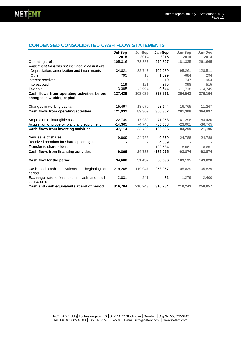# **CONDENSED CONSOLIDATED CASH FLOW STATEMENTS**

|                                                                           | Jul-Sep   | Jul-Sep                  | Jan-Sep    | Jan-Sep    | Jan-Dec    |
|---------------------------------------------------------------------------|-----------|--------------------------|------------|------------|------------|
|                                                                           | 2015      | 2014                     | 2015       | 2014       | 2014       |
| Operating profit                                                          | 105,316   | 73,387                   | 279,827    | 181,335    | 261,665    |
| Adjustment for items not included in cash flows:                          |           |                          |            |            |            |
| Depreciation, amortization and impairments                                | 34,821    | 32,747                   | 102,289    | 95,261     | 128,511    |
| Other                                                                     | 795       | 13                       | 1,399      | $-684$     | 294        |
| Interest received                                                         | 1         | $\overline{7}$           | 19         | 747        | 954        |
| Interest paid                                                             | $-119$    | $-121$                   | $-379$     | $-398$     | $-515$     |
| Tax paid                                                                  | $-3,385$  | $-2,994$                 | $-9,644$   | $-11,718$  | $-14,745$  |
| Cash flows from operating activities before<br>changes in working capital | 137,429   | 103,039                  | 373,511    | 264,543    | 376,164    |
| Changes in working capital                                                | $-15,497$ | $-13,670$                | $-23,144$  | 16,765     | $-11,267$  |
| Cash flows from operating activities                                      | 121,932   | 89,369                   | 350,367    | 281,308    | 364,897    |
| Acquisition of intangible assets                                          | $-22,749$ | $-17,980$                | $-71,058$  | $-61,298$  | $-84,430$  |
| Acquisition of property, plant, and equipment                             | $-14,365$ | $-4,740$                 | $-35.538$  | $-23,001$  | $-36,765$  |
| Cash flows from investing activities                                      | $-37,114$ | $-22,720$                | $-106.596$ | $-84,299$  | $-121,195$ |
| New issue of shares                                                       | 9,869     | 24,788                   | 9,869      | 24,788     | 24,788     |
| Received premium for share option rights                                  |           |                          | 4,589      |            |            |
| Transfer to shareholders                                                  |           | $\overline{\phantom{a}}$ | $-199,534$ | $-118,661$ | $-118,661$ |
| Cash flows from financing activities                                      | 9,869     | 24,788                   | $-185,075$ | $-93,874$  | $-93,874$  |
| Cash flow for the period                                                  | 94,688    | 91,437                   | 58,696     | 103,135    | 149,828    |
| Cash and cash equivalents at beginning of<br>period                       | 219,265   | 119,047                  | 258,057    | 105,829    | 105,829    |
| Exchange rate differences in cash and cash<br>equivalents                 | 2,831     | $-241$                   | 31         | 1,279      | 2,400      |
| Cash and cash equivalents at end of period                                | 316,784   | 210,243                  | 316,784    | 210,243    | 258,057    |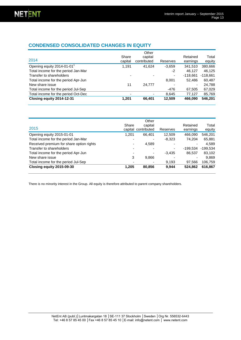# **CONDENSED CONSOLIDATED CHANGES IN EQUITY**

| 2014                                   | Share<br>capital | Other<br>capital<br>contributed | Reserves                 | Retained<br>earnings | Total<br>equity |
|----------------------------------------|------------------|---------------------------------|--------------------------|----------------------|-----------------|
| Opening equity 2014-01-01 <sup>1</sup> | 1.191            | 41.624                          | $-3.659$                 | 341,510              | 380,666         |
| Total income for the period Jan-Mar    |                  |                                 | $-2$                     | 46.127               | 46.125          |
| Transfer to shareholders               |                  |                                 | ٠                        | $-118.661$           | $-118,661$      |
| Total income for the period Apr-Jun    |                  |                                 | 8.001                    | 52.486               | 60.487          |
| New share issue                        | 11               | 24,777                          | $\overline{\phantom{0}}$ | ۰                    | 24,788          |
| Total income for the period Jul-Sep    |                  |                                 | $-476$                   | 67,505               | 67,029          |
| Total income for the period Oct-Dec    | -                | ۰                               | 8,645                    | 77,127               | 85,769          |
| Closing equity 2014-12-31              | 1,201            | 66,401                          | 12,509                   | 466,090              | 546,201         |

| 2015                                     | Share | Other<br>capital<br>capital contributed | Reserves | Retained<br>earnings | Total<br>equity |
|------------------------------------------|-------|-----------------------------------------|----------|----------------------|-----------------|
| Opening equity 2015-01-01                | 1.201 | 66.401                                  | 12.509   | 466.090              | 546,201         |
| Total income for the period Jan-Mar      |       |                                         | $-8.323$ | 74.204               | 65,881          |
| Received premium for share option rights |       | 4.589                                   |          |                      | 4.589           |
| Transfer to shareholders                 |       |                                         | ٠        | $-199.534$           | $-199.534$      |
| Total income for the period Apr-Jun      |       |                                         | $-3,435$ | 86.537               | 83,102          |
| New share issue                          | 3     | 9,866                                   |          |                      | 9.869           |
| Total income for the period Jul-Sep      |       |                                         | 9.193    | 97.566               | 106,759         |
| Closing equity 2015-09-30                | 1.205 | 80,856                                  | 9,944    | 524,862              | 616,867         |

There is no minority interest in the Group. All equity is therefore attributed to parent company shareholders.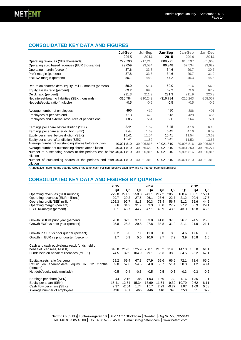# **CONSOLIDATED KEY DATA AND FIGURES**

|                                                                                | Jul-Sep    | Jul-Sep    | Jan-Sep    | Jan-Sep    | Jan-Dec    |
|--------------------------------------------------------------------------------|------------|------------|------------|------------|------------|
|                                                                                | 2015       | 2014       | 2015       | 2014       | 2014       |
| Operating revenues (SEK thousands)                                             | 279,790    | 217,216    | 809,291    | 610,597    | 851,663    |
| Operating euro based revenues (EUR thousands)                                  | 29,659     | 23,584     | 86,348     | 67,534     | 93,622     |
| Operating margin (percent)                                                     | 37.6       | 33.8       | 34.6       | 29.7       | 30.7       |
| Profit margin (percent)                                                        | 37.8       | 33.8       | 34.6       | 29.7       | 31.2       |
| EBITDA margin (percent)                                                        | 50.1       | 48.9       | 47.2       | 45.3       | 45.8       |
| Return on shareholders' equity, roll 12 months (percent)                       | 59.0       | 51.4       | 59.0       | 51.4       | 54.0       |
| Equity/assets ratio (percent)                                                  | 69.2       | 69.6       | 69.2       | 69.6       | 67.9       |
| Quick ratio (percent)                                                          | 231.3      | 211.9      | 231.3      | 211.9      | 220.3      |
| Net interest-bearing liabilities (SEK thousands) <sup>1</sup>                  | $-316,784$ | $-210,243$ | $-316,784$ | $-210,243$ | $-258,057$ |
| Net debt/equity ratio (multiple)                                               | $-0.5$     | $-0.5$     | $-0.5$     | $-0.5$     | $-0.5$     |
| Average number of employees                                                    | 496        | 410        | 480        | 386        | 401        |
| Employees at period's end                                                      | 513        | 428        | 513        | 428        | 456        |
| Employees and external resources at period's end                               | 686        | 564        | 686        | 564        | 591        |
| Earnings per share before dilution (SEK)                                       | 2.44       | 1.69       | 6.45       | 4.16       | 6.10       |
| Earnings per share after dilution (SEK)                                        | 2.44       | 1.69       | 6.45       | 4.16       | 6.09       |
| Equity per share before dilution (SEK)                                         | 15.41      | 11.54      | 15.41      | 11.54      | 13.69      |
| Equity per share after dilution (SEK)                                          | 15.41      | 11.52      | 15.41      | 11.52      | 13.67      |
| Average number of outstanding shares before dilution                           | 40.021.810 | 39.906.816 | 40.021.810 | 39,906,816 | 39,906,816 |
| Average number of outstanding shares after dilution                            | 40,021,810 | 39,966,652 | 40,021,810 | 39,961,250 | 39,966,274 |
| Number of outstanding shares at the period's end before 40,021,810<br>dilution |            | 39,906,816 | 40,021,810 | 39,906,816 | 39,906,816 |
| Number of outstanding shares at the period's end after 40,021,810<br>dilution  |            | 40,021,810 | 40,021,810 | 40,021,810 | 40,021,810 |

 $^1$  A negative figure means that the Group has a net cash position (positive cash flow and no interest-bearing liabilities)

# **CONSOLIDATED KEY DATA AND FIGURES BY QUARTER**

|                                                                     | 2015   |                |        | 2014   |        |         |        | 2012   |        |
|---------------------------------------------------------------------|--------|----------------|--------|--------|--------|---------|--------|--------|--------|
|                                                                     | Q3     | Q <sub>2</sub> | Q1     | Q4     | Q3     | Q2      | Q1     | Q4     | Q3     |
| Operating revenues (SEK millions)                                   | 279.8  | 271.2          | 258.3  | 241.1  | 217.2  | 205.0   | 188.4  | 180.1  | 153.1  |
| Operating revenues (EUR millions)                                   | 29.7   | 29.2           | 27.5   | 26.1   | 23.6   | 22.7    | 21.2   | 20.4   | 17.6   |
| Operating profit (SEK million)                                      | 105.3  | 92.7           | 81.8   | 80.3   | 73.4   | 56.7    | 51.2   | 55.6   | 44.5   |
| Operating margin (percent)                                          | 37.6   | 34.2           | 31.7   | 33.3   | 33.8   | 27.7    | 27.2   | 30.9   | 29.1   |
| EBITDA-margin (percent)                                             | 50.1   | 46.7           | 44.7   | 47.1   | 48.9   | 43.6    | 43.0   | 46.8   | 46.6   |
| Growth SEK vs prior year (percent)                                  | 28.8   | 32.3           | 37.1   | 33.8   | 41.8   | 37.8    | 26.7   | 24.5   | 25.0   |
| Growth EUR vs prior year (percent)                                  | 25.8   | 28.2           | 29.8   | 27.8   | 33.8   | 31.0    | 21.1   | 21.9   | 21.1   |
| Growth in SEK vs prior quarter (percent)                            | 3.2    | 5.0            | 7.1    | 11.0   | 6.0    | 8.8     | 4.6    | 17.6   | 3.0    |
| Growth in EUR vs prior quarter (percent)                            | 1.7    | 5.9            | 5.6    | 10.6   | 3.7    | 7.2     | 3.9    | 15.8   | 1.5    |
| Cash and cash equivalents (excl. funds held on                      |        |                |        |        |        |         |        |        |        |
| behalf of licensees, MSEK)                                          | 316.8  | 219.3          | 325.9  | 258.1  | 210.2  | 119.0   | 147.8  | 105.8  | 61.1   |
| Funds held on behalf of licensees (MSEK)                            | 74.5   | 32.9           | 104.9  | 79.1   | 55.3   | 38.3    | 34.5   | 25.2   | 67.1   |
| Equity/assets ratio (percent)                                       | 69.2   | 69.4           | 67.8   | 67.9   | 69.6   | 66.5    | 72.1   | 71.4   | 65.0   |
| Return on shareholders' equity<br>roll<br>12<br>months<br>(percent) | 59.0   | 57.6           | 54.6   | 54.0   | 53.7   | 51.4    | 50.8   | 51.2   | 48.4   |
| Net debt/equity ratio (multiple)                                    | $-0.5$ | $-0.4$         | $-0.5$ | $-0.5$ | $-0.5$ | $-0.3$  | $-0.3$ | $-0.3$ | $-0.2$ |
| Earnings per share (SEK)                                            | 2.44   | 2.16           | 1.86   | 1.93   | 1.69   | 1.32    | 1.16   | 1.35   | 1.01   |
| Equity per share (SEK)                                              | 15.41  | 12.54          | 15.34  | 13.69  | 11.54  | 9.32    | 10.79  | 9.62   | 8.11   |
| Cash flow per share (SEK)                                           | 2.37   | $-2.64$        | 1.74   | 1.17   | 2.29   | $-0.77$ | 1.07   | 1.09   | 0.58   |
| Average number of employees                                         | 496    | 481            | 466    | 446    | 410    | 390     | 358    | 351    | 329    |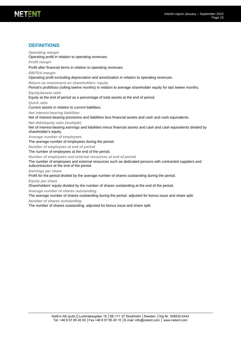#### Interim report January – September 2015 Page 15

# **DEFINITIONS**

Operating profit in relation to operating revenues. *Profit margin* Profit after financial items in relation to operating revenues. *EBITDA-margin* Operating profit excluding depreciation and amortization in relation to operating revenues. *Return on investment on shareholders' equity*  Period's profit/loss (rolling twelve months) in relation to average shareholder equity for last twelve months. *Equity/assets ratio* Equity at the end of period as a percentage of total assets at the end of period. *Quick ratio* Current assets in relation to current liabilities. *Net interest-bearing liabilities* Net of interest-bearing provisions and liabilities less financial assets and cash and cash equivalents. *Net debt/equity ratio (multiple)* Net of interest-bearing earnings and liabilities minus financial assets and cash and cash equivalents divided by shareholder's equity. *Average number of employees* The average number of employees during the period. *Number of employees at end of period* The number of employees at the end of the period. *Number of employees and external resources at end of period* The number of employees and external resources such as dedicated persons with contracted suppliers and subcontractors at the end of the period. *Earnings per share* Profit for the period divided by the average number of shares outstanding during the period. *Equity per share* Shareholders' equity divided by the number of shares outstanding at the end of the period. *Average number of shares outstanding* The average number of shares outstanding during the period. adjusted for bonus issue and share split. *Number of shares outstanding Operating margin*

The number of shares outstanding. adjusted for bonus issue and share split*.*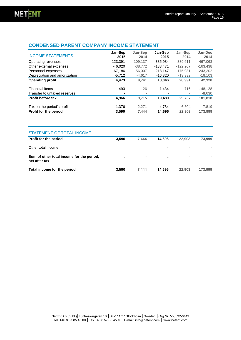# **CONDENSED PARENT COMPANY INCOME STATEMENT**

| <b>INCOME STATEMENTS</b>      | Jan-Sep<br>2015 | Jan-Sep<br>2014 | Jan-Sep<br>2015 | Jan-Sep<br>2014 | Jan-Dec<br>2014 |
|-------------------------------|-----------------|-----------------|-----------------|-----------------|-----------------|
| Operating revenues            | 123,391         | 109.137         | 385.984         | 339.611         | 467.063         |
| Other external expenses       | $-46,020$       | $-38,772$       | $-133.471$      | $-122.207$      | $-163,438$      |
| Personnel expenses            | $-67.186$       | $-56.007$       | $-218.147$      | $-175.081$      | $-243,202$      |
| Depreciation and amortization | $-5.712$        | $-4.617$        | $-16.320$       | $-13,332$       | $-18,103$       |
| <b>Operating profit</b>       | 4,473           | 9.741           | 18,046          | 28,991          | 42,320          |
| Financial items               | 493             | $-26$           | 1.434           | 716             | 148,128         |
| Transfer to untaxed reserves  |                 |                 |                 |                 | $-8,630$        |
| Profit before tax             | 4.966           | 9.715           | 19.480          | 29.707          | 181,818         |
| Tax on the period's profit    | $-1.376$        | $-2.271$        | $-4,784$        | $-6.804$        | $-7,819$        |
| Profit for the period         | 3,590           | 7.444           | 14.696          | 22.903          | 173.999         |

| <b>STATEMENT OF TOTAL INCOME</b>                           |                |                |                          |                          |         |
|------------------------------------------------------------|----------------|----------------|--------------------------|--------------------------|---------|
| Profit for the period                                      | 3,590          | 7.444          | 14.696                   | 22,903                   | 173,999 |
| Other total income                                         | $\blacksquare$ | ۰              | $\overline{\phantom{a}}$ | $\overline{\phantom{a}}$ |         |
| Sum of other total income for the period,<br>net after tax |                | $\blacksquare$ |                          | $\sim$                   |         |
| Total income for the period                                | 3.590          | 7.444          | 14.696                   | 22,903                   | 173,999 |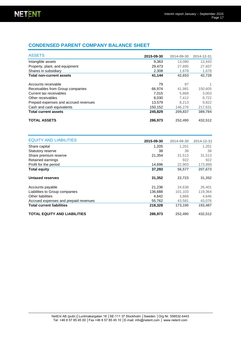# **CONDENSED PARENT COMPANY BALANCE SHEET**

| <b>ASSETS</b>                         | 2015-09-30 | 2014-09-30 | 2014-12-31 |
|---------------------------------------|------------|------------|------------|
| Intangible assets                     | 9,363      | 13.080     | 13,443     |
| Property, plant, and equipment        | 29,473     | 27,895     | 27.607     |
| Shares in subsidiary                  | 2,308      | 1,678      | 1,678      |
| <b>Total non-current assets</b>       | 41,144     | 42,653     | 42,728     |
| Accounts receivable                   | 79         | 87         | 1          |
| Receivables from Group companies      | 66.974     | 41.981     | 150,605    |
| Current tax receivables               | 7.015      | 5,868      | 3.003      |
| Other receivables                     | 8.030      | 7.412      | 8.722      |
| Prepaid expenses and accrued revenues | 13.579     | 8.213      | 9.822      |
| Cash and cash equivalents             | 150,152    | 146,276    | 217,631    |
| <b>Total current assets</b>           | 245,829    | 209.837    | 389,784    |
| <b>TOTAL ASSETS</b>                   | 286,973    | 252,490    | 432,512    |

| <b>EQUITY AND LIABILITIES</b>         | 2015-09-30 | 2014-09-30 | 2014-12-31 |
|---------------------------------------|------------|------------|------------|
| Share capital                         | 1,205      | 1.201      | 1.201      |
| Statutory reserve                     | 38         | 38         | 38         |
| Share premium reserve                 | 21,354     | 31,513     | 31,513     |
| Retained earnings                     |            | 922        | 922        |
| Profit for the period                 | 14,696     | 22,903     | 173,999    |
| <b>Total equity</b>                   | 37,293     | 56,577     | 207,673    |
| Untaxed reserves                      | 31,352     | 22,723     | 31,352     |
| Accounts payable                      | 21,236     | 24.638     | 26,401     |
| Liabilities to Group companies        | 136,688    | 101.103    | 119,364    |
| Other liabilities                     | 4,642      | 3,868      | 4,646      |
| Accrued expenses and prepaid revenues | 55,762     | 43.581     | 43,076     |
| <b>Total current liabilities</b>      | 218,328    | 173,190    | 193,487    |
| <b>TOTAL EQUITY AND LIABILITIES</b>   | 286.973    | 252.490    | 432.512    |